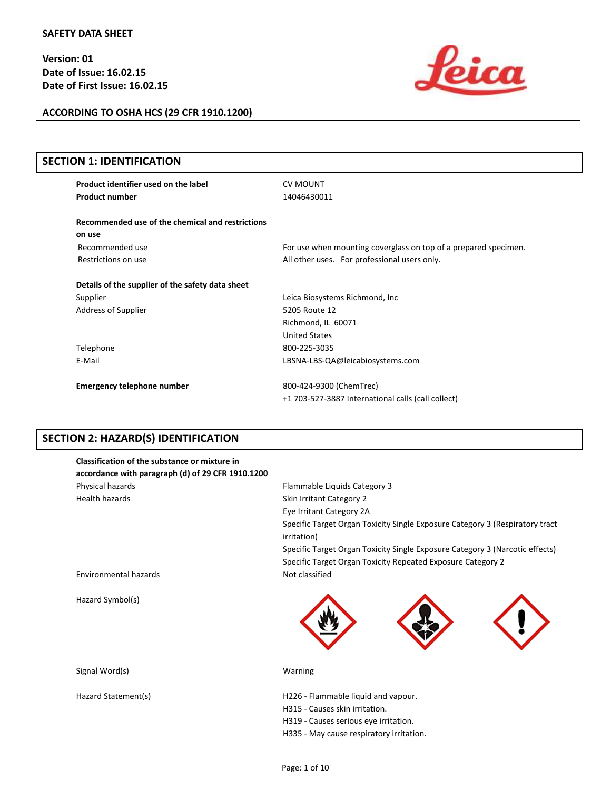

**ACCORDING TO OSHA HCS (29 CFR 1910.1200)**

| <b>SECTION 1: IDENTIFICATION</b>                 |                                                                 |
|--------------------------------------------------|-----------------------------------------------------------------|
| Product identifier used on the label             | <b>CV MOUNT</b>                                                 |
| <b>Product number</b>                            | 14046430011                                                     |
| Recommended use of the chemical and restrictions |                                                                 |
| on use                                           |                                                                 |
| Recommended use                                  | For use when mounting coverglass on top of a prepared specimen. |
| Restrictions on use                              | All other uses. For professional users only.                    |
| Details of the supplier of the safety data sheet |                                                                 |
| Supplier                                         | Leica Biosystems Richmond, Inc.                                 |
| Address of Supplier                              | 5205 Route 12                                                   |
|                                                  | Richmond, IL 60071                                              |
|                                                  | <b>United States</b>                                            |
| Telephone                                        | 800-225-3035                                                    |
| E-Mail                                           | LBSNA-LBS-QA@leicabiosystems.com                                |
| <b>Emergency telephone number</b>                | 800-424-9300 (ChemTrec)                                         |
|                                                  | +1 703-527-3887 International calls (call collect)              |

# **SECTION 2: HAZARD(S) IDENTIFICATION**

| Classification of the substance or mixture in<br>accordance with paragraph (d) of 29 CFR 1910.1200 |                                                                                                                                                            |
|----------------------------------------------------------------------------------------------------|------------------------------------------------------------------------------------------------------------------------------------------------------------|
| Physical hazards                                                                                   | Flammable Liquids Category 3                                                                                                                               |
| <b>Health hazards</b>                                                                              | Skin Irritant Category 2                                                                                                                                   |
|                                                                                                    | Eye Irritant Category 2A                                                                                                                                   |
|                                                                                                    | Specific Target Organ Toxicity Single Exposure Category 3 (Respiratory tract<br>irritation)                                                                |
|                                                                                                    | Specific Target Organ Toxicity Single Exposure Category 3 (Narcotic effects)                                                                               |
|                                                                                                    | Specific Target Organ Toxicity Repeated Exposure Category 2                                                                                                |
| Environmental hazards                                                                              | Not classified                                                                                                                                             |
| Hazard Symbol(s)                                                                                   |                                                                                                                                                            |
| Signal Word(s)                                                                                     | Warning                                                                                                                                                    |
| Hazard Statement(s)                                                                                | H226 - Flammable liquid and vapour.<br>H315 - Causes skin irritation.<br>H319 - Causes serious eye irritation.<br>H335 - May cause respiratory irritation. |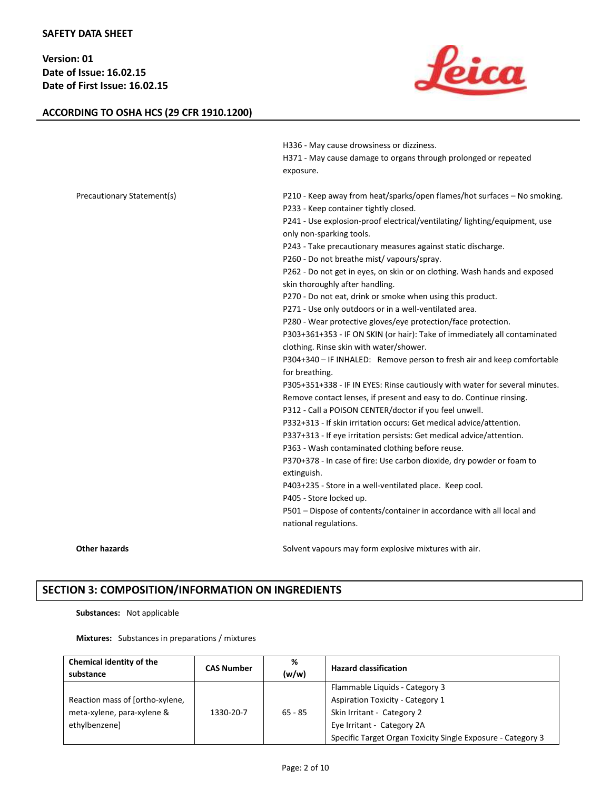# **ACCORDING TO OSHA HCS (29 CFR 1910.1200)**



|                            | H336 - May cause drowsiness or dizziness.                                                                    |
|----------------------------|--------------------------------------------------------------------------------------------------------------|
|                            | H371 - May cause damage to organs through prolonged or repeated<br>exposure.                                 |
| Precautionary Statement(s) | P210 - Keep away from heat/sparks/open flames/hot surfaces - No smoking.                                     |
|                            | P233 - Keep container tightly closed.                                                                        |
|                            | P241 - Use explosion-proof electrical/ventilating/ lighting/equipment, use                                   |
|                            | only non-sparking tools.                                                                                     |
|                            | P243 - Take precautionary measures against static discharge.                                                 |
|                            | P260 - Do not breathe mist/vapours/spray.                                                                    |
|                            | P262 - Do not get in eyes, on skin or on clothing. Wash hands and exposed<br>skin thoroughly after handling. |
|                            | P270 - Do not eat, drink or smoke when using this product.                                                   |
|                            | P271 - Use only outdoors or in a well-ventilated area.                                                       |
|                            | P280 - Wear protective gloves/eye protection/face protection.                                                |
|                            | P303+361+353 - IF ON SKIN (or hair): Take of immediately all contaminated                                    |
|                            | clothing. Rinse skin with water/shower.                                                                      |
|                            | P304+340 - IF INHALED: Remove person to fresh air and keep comfortable                                       |
|                            | for breathing.                                                                                               |
|                            | P305+351+338 - IF IN EYES: Rinse cautiously with water for several minutes.                                  |
|                            | Remove contact lenses, if present and easy to do. Continue rinsing.                                          |
|                            | P312 - Call a POISON CENTER/doctor if you feel unwell.                                                       |
|                            | P332+313 - If skin irritation occurs: Get medical advice/attention.                                          |
|                            | P337+313 - If eye irritation persists: Get medical advice/attention.                                         |
|                            | P363 - Wash contaminated clothing before reuse.                                                              |
|                            | P370+378 - In case of fire: Use carbon dioxide, dry powder or foam to<br>extinguish.                         |
|                            | P403+235 - Store in a well-ventilated place. Keep cool.                                                      |
|                            | P405 - Store locked up.                                                                                      |
|                            | P501 - Dispose of contents/container in accordance with all local and<br>national regulations.               |
| <b>Other hazards</b>       | Solvent vapours may form explosive mixtures with air.                                                        |

# **SECTION 3: COMPOSITION/INFORMATION ON INGREDIENTS**

### **Substances:** Not applicable

**Mixtures:** Substances in preparations / mixtures

| Chemical identity of the<br>substance | <b>CAS Number</b> | %<br>(w/w) | <b>Hazard classification</b>                                |
|---------------------------------------|-------------------|------------|-------------------------------------------------------------|
|                                       |                   |            | Flammable Liquids - Category 3                              |
| Reaction mass of [ortho-xylene,       |                   |            | <b>Aspiration Toxicity - Category 1</b>                     |
| meta-xylene, para-xylene &            | 1330-20-7         | $65 - 85$  | Skin Irritant - Category 2                                  |
| ethylbenzenel                         |                   |            | Eye Irritant - Category 2A                                  |
|                                       |                   |            | Specific Target Organ Toxicity Single Exposure - Category 3 |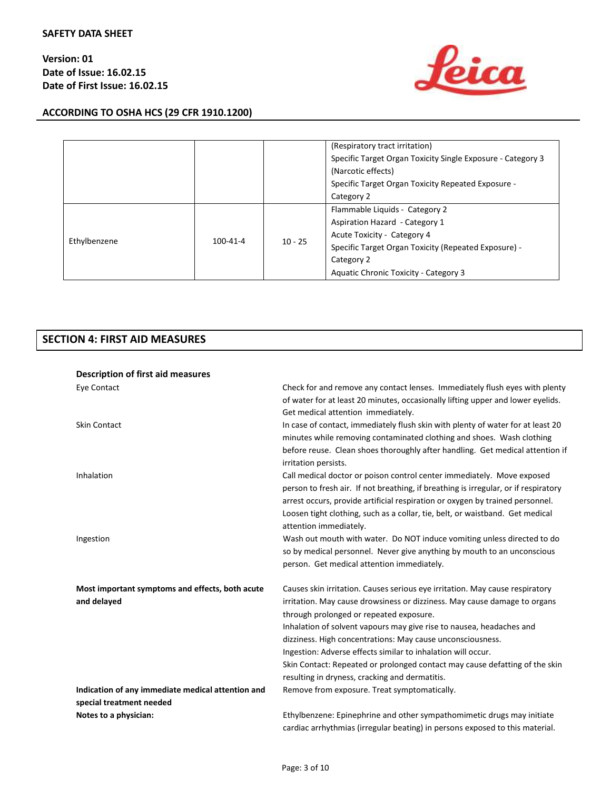



|              |                |           | (Respiratory tract irritation)<br>Specific Target Organ Toxicity Single Exposure - Category 3<br>(Narcotic effects) |
|--------------|----------------|-----------|---------------------------------------------------------------------------------------------------------------------|
|              |                |           | Specific Target Organ Toxicity Repeated Exposure -                                                                  |
|              |                |           | Category 2                                                                                                          |
|              | $100 - 41 - 4$ | $10 - 25$ | Flammable Liquids - Category 2                                                                                      |
|              |                |           | Aspiration Hazard - Category 1                                                                                      |
| Ethylbenzene |                |           | Acute Toxicity - Category 4                                                                                         |
|              |                |           | Specific Target Organ Toxicity (Repeated Exposure) -                                                                |
|              |                |           | Category 2                                                                                                          |
|              |                |           | Aquatic Chronic Toxicity - Category 3                                                                               |

# **SECTION 4: FIRST AID MEASURES**

| Description of first aid measures                 |                                                                                                                                                                      |
|---------------------------------------------------|----------------------------------------------------------------------------------------------------------------------------------------------------------------------|
| Eye Contact                                       | Check for and remove any contact lenses. Immediately flush eyes with plenty                                                                                          |
|                                                   | of water for at least 20 minutes, occasionally lifting upper and lower eyelids.                                                                                      |
|                                                   | Get medical attention immediately.                                                                                                                                   |
| <b>Skin Contact</b>                               | In case of contact, immediately flush skin with plenty of water for at least 20                                                                                      |
|                                                   | minutes while removing contaminated clothing and shoes. Wash clothing                                                                                                |
|                                                   | before reuse. Clean shoes thoroughly after handling. Get medical attention if                                                                                        |
|                                                   | irritation persists.                                                                                                                                                 |
| Inhalation                                        | Call medical doctor or poison control center immediately. Move exposed                                                                                               |
|                                                   | person to fresh air. If not breathing, if breathing is irregular, or if respiratory<br>arrest occurs, provide artificial respiration or oxygen by trained personnel. |
|                                                   | Loosen tight clothing, such as a collar, tie, belt, or waistband. Get medical                                                                                        |
|                                                   | attention immediately.                                                                                                                                               |
| Ingestion                                         | Wash out mouth with water. Do NOT induce vomiting unless directed to do                                                                                              |
|                                                   | so by medical personnel. Never give anything by mouth to an unconscious                                                                                              |
|                                                   | person. Get medical attention immediately.                                                                                                                           |
|                                                   |                                                                                                                                                                      |
| Most important symptoms and effects, both acute   | Causes skin irritation. Causes serious eye irritation. May cause respiratory                                                                                         |
| and delayed                                       | irritation. May cause drowsiness or dizziness. May cause damage to organs                                                                                            |
|                                                   | through prolonged or repeated exposure.                                                                                                                              |
|                                                   | Inhalation of solvent vapours may give rise to nausea, headaches and                                                                                                 |
|                                                   | dizziness. High concentrations: May cause unconsciousness.                                                                                                           |
|                                                   | Ingestion: Adverse effects similar to inhalation will occur.                                                                                                         |
|                                                   | Skin Contact: Repeated or prolonged contact may cause defatting of the skin                                                                                          |
|                                                   | resulting in dryness, cracking and dermatitis.                                                                                                                       |
| Indication of any immediate medical attention and | Remove from exposure. Treat symptomatically.                                                                                                                         |
| special treatment needed                          |                                                                                                                                                                      |
| Notes to a physician:                             | Ethylbenzene: Epinephrine and other sympathomimetic drugs may initiate<br>cardiac arrhythmias (irregular beating) in persons exposed to this material.               |
|                                                   |                                                                                                                                                                      |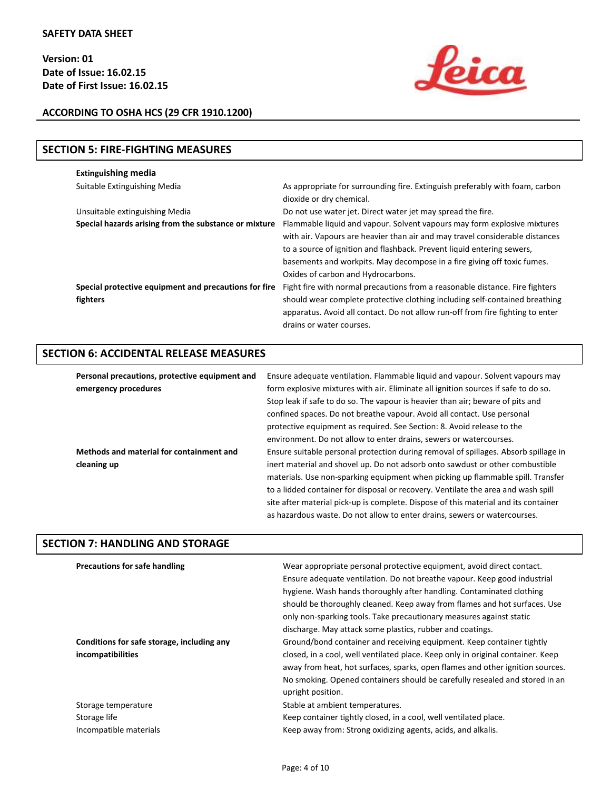

# **ACCORDING TO OSHA HCS (29 CFR 1910.1200)**

| <b>SECTION 5: FIRE-FIGHTING MEASURES</b>                          |                                                                                                                                                                                                                                                                                                                                                     |
|-------------------------------------------------------------------|-----------------------------------------------------------------------------------------------------------------------------------------------------------------------------------------------------------------------------------------------------------------------------------------------------------------------------------------------------|
| <b>Extinguishing media</b>                                        |                                                                                                                                                                                                                                                                                                                                                     |
| Suitable Extinguishing Media                                      | As appropriate for surrounding fire. Extinguish preferably with foam, carbon<br>dioxide or dry chemical.                                                                                                                                                                                                                                            |
| Unsuitable extinguishing Media                                    | Do not use water jet. Direct water jet may spread the fire.                                                                                                                                                                                                                                                                                         |
| Special hazards arising from the substance or mixture             | Flammable liquid and vapour. Solvent vapours may form explosive mixtures<br>with air. Vapours are heavier than air and may travel considerable distances<br>to a source of ignition and flashback. Prevent liquid entering sewers,<br>basements and workpits. May decompose in a fire giving off toxic fumes.<br>Oxides of carbon and Hydrocarbons. |
| Special protective equipment and precautions for fire<br>fighters | Fight fire with normal precautions from a reasonable distance. Fire fighters<br>should wear complete protective clothing including self-contained breathing<br>apparatus. Avoid all contact. Do not allow run-off from fire fighting to enter<br>drains or water courses.                                                                           |

# **SECTION 6: ACCIDENTAL RELEASE MEASURES**

| Personal precautions, protective equipment and | Ensure adequate ventilation. Flammable liquid and vapour. Solvent vapours may       |
|------------------------------------------------|-------------------------------------------------------------------------------------|
| emergency procedures                           | form explosive mixtures with air. Eliminate all ignition sources if safe to do so.  |
|                                                | Stop leak if safe to do so. The vapour is heavier than air; beware of pits and      |
|                                                | confined spaces. Do not breathe vapour. Avoid all contact. Use personal             |
|                                                | protective equipment as required. See Section: 8. Avoid release to the              |
|                                                | environment. Do not allow to enter drains, sewers or watercourses.                  |
| Methods and material for containment and       | Ensure suitable personal protection during removal of spillages. Absorb spillage in |
| cleaning up                                    | inert material and shovel up. Do not adsorb onto sawdust or other combustible       |
|                                                | materials. Use non-sparking equipment when picking up flammable spill. Transfer     |
|                                                | to a lidded container for disposal or recovery. Ventilate the area and wash spill   |
|                                                | site after material pick-up is complete. Dispose of this material and its container |
|                                                | as hazardous waste. Do not allow to enter drains, sewers or watercourses.           |

# **SECTION 7: HANDLING AND STORAGE**

| <b>Precautions for safe handling</b>       | Wear appropriate personal protective equipment, avoid direct contact.<br>Ensure adequate ventilation. Do not breathe vapour. Keep good industrial<br>hygiene. Wash hands thoroughly after handling. Contaminated clothing<br>should be thoroughly cleaned. Keep away from flames and hot surfaces. Use<br>only non-sparking tools. Take precautionary measures against static<br>discharge. May attack some plastics, rubber and coatings. |
|--------------------------------------------|--------------------------------------------------------------------------------------------------------------------------------------------------------------------------------------------------------------------------------------------------------------------------------------------------------------------------------------------------------------------------------------------------------------------------------------------|
| Conditions for safe storage, including any | Ground/bond container and receiving equipment. Keep container tightly                                                                                                                                                                                                                                                                                                                                                                      |
| incompatibilities                          | closed, in a cool, well ventilated place. Keep only in original container. Keep<br>away from heat, hot surfaces, sparks, open flames and other ignition sources.<br>No smoking. Opened containers should be carefully resealed and stored in an<br>upright position.                                                                                                                                                                       |
| Storage temperature                        | Stable at ambient temperatures.                                                                                                                                                                                                                                                                                                                                                                                                            |
| Storage life                               | Keep container tightly closed, in a cool, well ventilated place.                                                                                                                                                                                                                                                                                                                                                                           |
| Incompatible materials                     | Keep away from: Strong oxidizing agents, acids, and alkalis.                                                                                                                                                                                                                                                                                                                                                                               |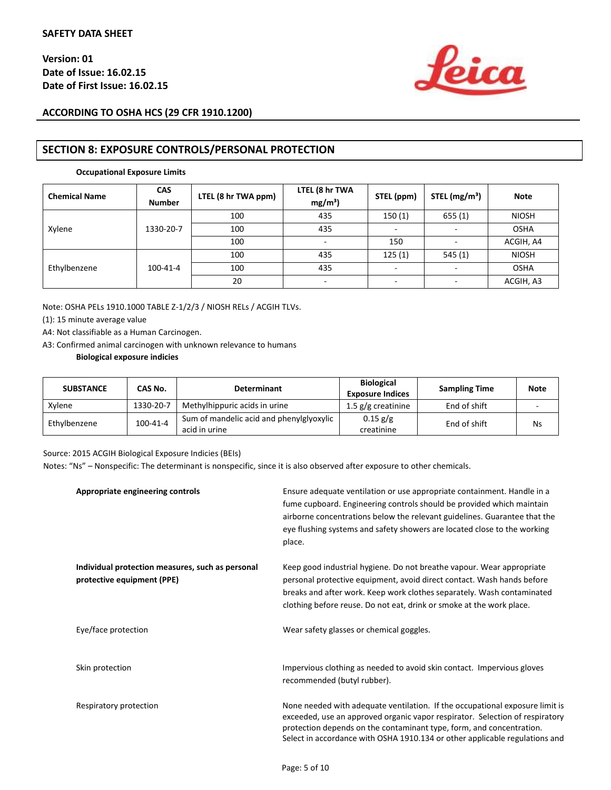

# **ACCORDING TO OSHA HCS (29 CFR 1910.1200)**

# **SECTION 8: EXPOSURE CONTROLS/PERSONAL PROTECTION**

#### **Occupational Exposure Limits**

| <b>Chemical Name</b> | <b>CAS</b><br><b>Number</b> | LTEL (8 hr TWA ppm) | LTEL (8 hr TWA<br>$mg/m^3$ ) | STEL (ppm)               | STEL $(mg/m3)$ | <b>Note</b>  |
|----------------------|-----------------------------|---------------------|------------------------------|--------------------------|----------------|--------------|
|                      |                             | 100                 | 435                          | 150(1)                   | 655(1)         | <b>NIOSH</b> |
| Xylene               | 1330-20-7                   | 100                 | 435                          |                          |                | <b>OSHA</b>  |
|                      |                             | 100                 | $\sim$                       | 150                      |                | ACGIH, A4    |
|                      |                             | 100                 | 435                          | 125(1)                   | 545(1)         | <b>NIOSH</b> |
| Ethylbenzene         | 100-41-4                    | 100                 | 435                          | $\overline{\phantom{a}}$ |                | <b>OSHA</b>  |
|                      |                             | 20                  | ۰                            | ٠                        | -              | ACGIH, A3    |

Note: OSHA PELs 1910.1000 TABLE Z-1/2/3 / NIOSH RELs / ACGIH TLVs.

(1): 15 minute average value

A4: Not classifiable as a Human Carcinogen.

A3: Confirmed animal carcinogen with unknown relevance to humans

#### **Biological exposure indicies**

| <b>SUBSTANCE</b> | CAS No.        | <b>Determinant</b>                                        | <b>Biological</b><br><b>Exposure Indices</b> | <b>Sampling Time</b> | <b>Note</b> |
|------------------|----------------|-----------------------------------------------------------|----------------------------------------------|----------------------|-------------|
| Xylene           | 1330-20-7      | Methylhippuric acids in urine                             | 1.5 $g/g$ creatinine                         | End of shift         |             |
| Ethylbenzene     | $100 - 41 - 4$ | Sum of mandelic acid and phenylglyoxylic<br>acid in urine | $0.15 \text{ g/g}$<br>creatinine             | End of shift         | Ns          |

Source: 2015 ACGIH Biological Exposure Indicies (BEIs)

Notes: "Ns" – Nonspecific: The determinant is nonspecific, since it is also observed after exposure to other chemicals.

| Appropriate engineering controls                                               | Ensure adequate ventilation or use appropriate containment. Handle in a<br>fume cupboard. Engineering controls should be provided which maintain<br>airborne concentrations below the relevant guidelines. Guarantee that the<br>eye flushing systems and safety showers are located close to the working<br>place. |
|--------------------------------------------------------------------------------|---------------------------------------------------------------------------------------------------------------------------------------------------------------------------------------------------------------------------------------------------------------------------------------------------------------------|
| Individual protection measures, such as personal<br>protective equipment (PPE) | Keep good industrial hygiene. Do not breathe vapour. Wear appropriate<br>personal protective equipment, avoid direct contact. Wash hands before<br>breaks and after work. Keep work clothes separately. Wash contaminated<br>clothing before reuse. Do not eat, drink or smoke at the work place.                   |
| Eye/face protection                                                            | Wear safety glasses or chemical goggles.                                                                                                                                                                                                                                                                            |
| Skin protection                                                                | Impervious clothing as needed to avoid skin contact. Impervious gloves<br>recommended (butyl rubber).                                                                                                                                                                                                               |
| Respiratory protection                                                         | None needed with adequate ventilation. If the occupational exposure limit is<br>exceeded, use an approved organic vapor respirator. Selection of respiratory<br>protection depends on the contaminant type, form, and concentration.<br>Select in accordance with OSHA 1910.134 or other applicable regulations and |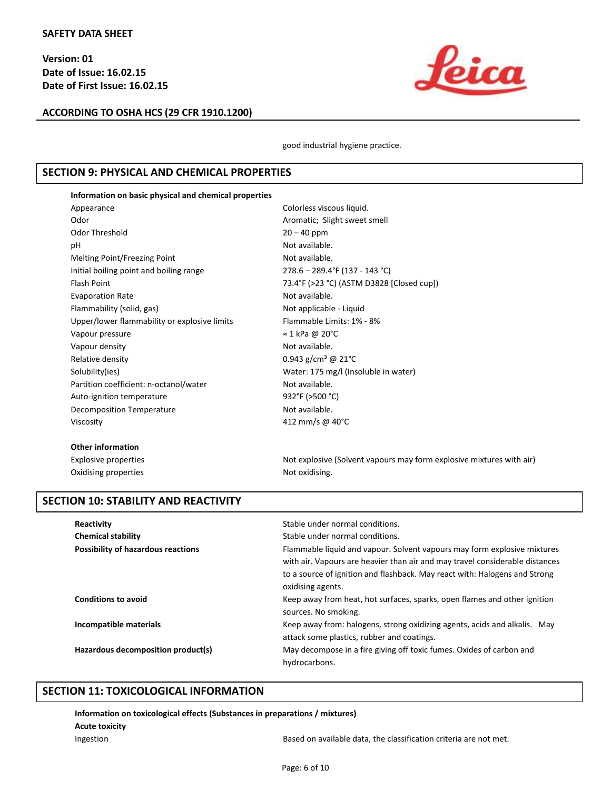

**ACCORDING TO OSHA HCS (29 CFR 1910.1200)**

good industrial hygiene practice.

# **SECTION 9: PHYSICAL AND CHEMICAL PROPERTIES**

#### **Information on basic physical and chemical properties**

| Appearance                                   | Colorless viscous liquid.                   |
|----------------------------------------------|---------------------------------------------|
| Odor                                         | Aromatic; Slight sweet smell                |
| Odor Threshold                               | $20 - 40$ ppm                               |
| рH                                           | Not available.                              |
| Melting Point/Freezing Point                 | Not available.                              |
| Initial boiling point and boiling range      | 278.6 - 289.4°F (137 - 143 °C)              |
| <b>Flash Point</b>                           | 73.4°F (>23 °C) (ASTM D3828 [Closed cup])   |
| <b>Evaporation Rate</b>                      | Not available.                              |
| Flammability (solid, gas)                    | Not applicable - Liquid                     |
| Upper/lower flammability or explosive limits | Flammable Limits: 1% - 8%                   |
| Vapour pressure                              | $\approx$ 1 kPa @ 20°C                      |
| Vapour density                               | Not available.                              |
| Relative density                             | 0.943 g/cm <sup>3</sup> @ 21 <sup>o</sup> C |
| Solubility(ies)                              | Water: 175 mg/l (Insoluble in water)        |
| Partition coefficient: n-octanol/water       | Not available.                              |
| Auto-ignition temperature                    | 932°F (>500 °C)                             |
| Decomposition Temperature                    | Not available.                              |
| Viscosity                                    | 412 mm/s @ 40°C                             |
|                                              |                                             |

#### **Other information**

Oxidising properties Not oxidising.

Explosive properties Notexplosive (Solvent vapours may form explosive mixtures with air)

# **SECTION 10: STABILITY AND REACTIVITY**

| Reactivity<br><b>Chemical stability</b><br><b>Possibility of hazardous reactions</b> | Stable under normal conditions.<br>Stable under normal conditions.<br>Flammable liquid and vapour. Solvent vapours may form explosive mixtures<br>with air. Vapours are heavier than air and may travel considerable distances<br>to a source of ignition and flashback. May react with: Halogens and Strong<br>oxidising agents. |
|--------------------------------------------------------------------------------------|-----------------------------------------------------------------------------------------------------------------------------------------------------------------------------------------------------------------------------------------------------------------------------------------------------------------------------------|
| <b>Conditions to avoid</b>                                                           | Keep away from heat, hot surfaces, sparks, open flames and other ignition<br>sources. No smoking.                                                                                                                                                                                                                                 |
| Incompatible materials                                                               | Keep away from: halogens, strong oxidizing agents, acids and alkalis. May<br>attack some plastics, rubber and coatings.                                                                                                                                                                                                           |
| Hazardous decomposition product(s)                                                   | May decompose in a fire giving off toxic fumes. Oxides of carbon and<br>hydrocarbons.                                                                                                                                                                                                                                             |

# **SECTION 11: TOXICOLOGICAL INFORMATION**

**Information on toxicological effects (Substances in preparations / mixtures)**

**Acute toxicity**

Ingestion Based on available data, the classification criteria are not met.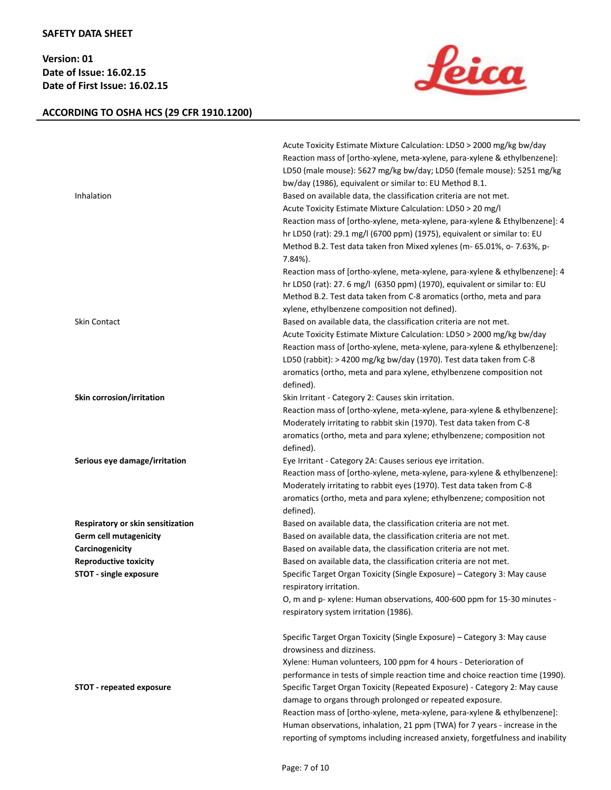# **ACCORDING TO OSHA HCS (29 CFR 1910.1200)**



| Inhalation                        | Acute Toxicity Estimate Mixture Calculation: LD50 > 2000 mg/kg bw/day<br>Reaction mass of [ortho-xylene, meta-xylene, para-xylene & ethylbenzene]:<br>LD50 (male mouse): 5627 mg/kg bw/day; LD50 (female mouse): 5251 mg/kg<br>bw/day (1986), equivalent or similar to: EU Method B.1.<br>Based on available data, the classification criteria are not met.<br>Acute Toxicity Estimate Mixture Calculation: LD50 > 20 mg/l<br>Reaction mass of [ortho-xylene, meta-xylene, para-xylene & Ethylbenzene]: 4<br>hr LD50 (rat): 29.1 mg/l (6700 ppm) (1975), equivalent or similar to: EU<br>Method B.2. Test data taken fron Mixed xylenes (m- 65.01%, o- 7.63%, p-<br>7.84%). |
|-----------------------------------|-----------------------------------------------------------------------------------------------------------------------------------------------------------------------------------------------------------------------------------------------------------------------------------------------------------------------------------------------------------------------------------------------------------------------------------------------------------------------------------------------------------------------------------------------------------------------------------------------------------------------------------------------------------------------------|
|                                   | Reaction mass of [ortho-xylene, meta-xylene, para-xylene & ethylbenzene]: 4<br>hr LD50 (rat): 27. 6 mg/l (6350 ppm) (1970), equivalent or similar to: EU<br>Method B.2. Test data taken from C-8 aromatics (ortho, meta and para<br>xylene, ethylbenzene composition not defined).                                                                                                                                                                                                                                                                                                                                                                                          |
| Skin Contact                      | Based on available data, the classification criteria are not met.<br>Acute Toxicity Estimate Mixture Calculation: LD50 > 2000 mg/kg bw/day<br>Reaction mass of [ortho-xylene, meta-xylene, para-xylene & ethylbenzene]:<br>LD50 (rabbit): > 4200 mg/kg bw/day (1970). Test data taken from C-8<br>aromatics (ortho, meta and para xylene, ethylbenzene composition not<br>defined).                                                                                                                                                                                                                                                                                         |
| Skin corrosion/irritation         | Skin Irritant - Category 2: Causes skin irritation.<br>Reaction mass of [ortho-xylene, meta-xylene, para-xylene & ethylbenzene]:<br>Moderately irritating to rabbit skin (1970). Test data taken from C-8<br>aromatics (ortho, meta and para xylene; ethylbenzene; composition not<br>defined).                                                                                                                                                                                                                                                                                                                                                                             |
| Serious eye damage/irritation     | Eye Irritant - Category 2A: Causes serious eye irritation.<br>Reaction mass of [ortho-xylene, meta-xylene, para-xylene & ethylbenzene]:<br>Moderately irritating to rabbit eyes (1970). Test data taken from C-8<br>aromatics (ortho, meta and para xylene; ethylbenzene; composition not<br>defined).                                                                                                                                                                                                                                                                                                                                                                      |
| Respiratory or skin sensitization | Based on available data, the classification criteria are not met.                                                                                                                                                                                                                                                                                                                                                                                                                                                                                                                                                                                                           |
| <b>Germ cell mutagenicity</b>     | Based on available data, the classification criteria are not met.                                                                                                                                                                                                                                                                                                                                                                                                                                                                                                                                                                                                           |
| Carcinogenicity                   | Based on available data, the classification criteria are not met.                                                                                                                                                                                                                                                                                                                                                                                                                                                                                                                                                                                                           |
| <b>Reproductive toxicity</b>      | Based on available data, the classification criteria are not met.                                                                                                                                                                                                                                                                                                                                                                                                                                                                                                                                                                                                           |
| STOT - single exposure            | Specific Target Organ Toxicity (Single Exposure) - Category 3: May cause<br>respiratory irritation.                                                                                                                                                                                                                                                                                                                                                                                                                                                                                                                                                                         |
|                                   | O, m and p- xylene: Human observations, 400-600 ppm for 15-30 minutes -<br>respiratory system irritation (1986).                                                                                                                                                                                                                                                                                                                                                                                                                                                                                                                                                            |
|                                   | Specific Target Organ Toxicity (Single Exposure) - Category 3: May cause<br>drowsiness and dizziness.<br>Xylene: Human volunteers, 100 ppm for 4 hours - Deterioration of<br>performance in tests of simple reaction time and choice reaction time (1990).                                                                                                                                                                                                                                                                                                                                                                                                                  |
| <b>STOT - repeated exposure</b>   | Specific Target Organ Toxicity (Repeated Exposure) - Category 2: May cause<br>damage to organs through prolonged or repeated exposure.<br>Reaction mass of [ortho-xylene, meta-xylene, para-xylene & ethylbenzene]:<br>Human observations, inhalation, 21 ppm (TWA) for 7 years - increase in the<br>reporting of symptoms including increased anxiety, forgetfulness and inability                                                                                                                                                                                                                                                                                         |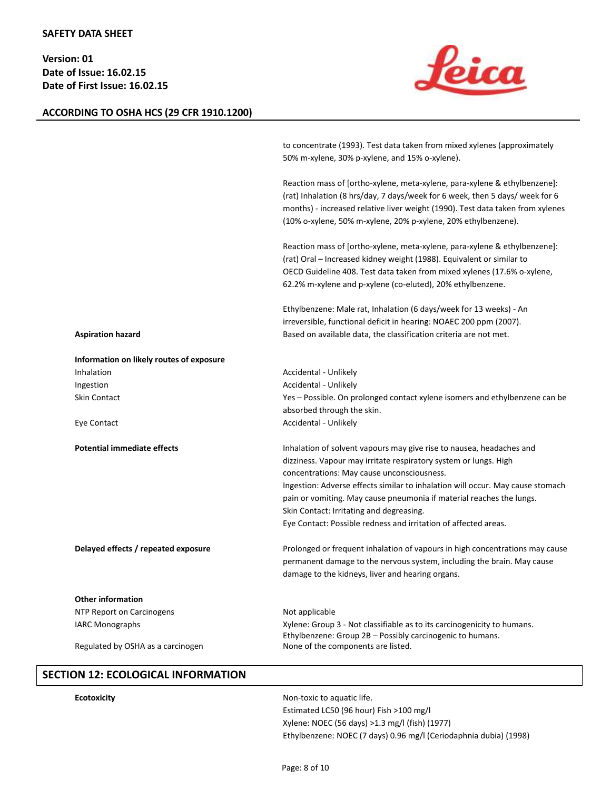# <u> feica</u>

# **ACCORDING TO OSHA HCS (29 CFR 1910.1200)**

|                                          | to concentrate (1993). Test data taken from mixed xylenes (approximately<br>50% m-xylene, 30% p-xylene, and 15% o-xylene).                                                                                                                                                                                                                                                                                                                                      |
|------------------------------------------|-----------------------------------------------------------------------------------------------------------------------------------------------------------------------------------------------------------------------------------------------------------------------------------------------------------------------------------------------------------------------------------------------------------------------------------------------------------------|
|                                          | Reaction mass of [ortho-xylene, meta-xylene, para-xylene & ethylbenzene]:<br>(rat) Inhalation (8 hrs/day, 7 days/week for 6 week, then 5 days/ week for 6<br>months) - increased relative liver weight (1990). Test data taken from xylenes<br>(10% o-xylene, 50% m-xylene, 20% p-xylene, 20% ethylbenzene).                                                                                                                                                    |
|                                          | Reaction mass of [ortho-xylene, meta-xylene, para-xylene & ethylbenzene]:<br>(rat) Oral – Increased kidney weight (1988). Equivalent or similar to<br>OECD Guideline 408. Test data taken from mixed xylenes (17.6% o-xylene,<br>62.2% m-xylene and p-xylene (co-eluted), 20% ethylbenzene.                                                                                                                                                                     |
| <b>Aspiration hazard</b>                 | Ethylbenzene: Male rat, Inhalation (6 days/week for 13 weeks) - An<br>irreversible, functional deficit in hearing: NOAEC 200 ppm (2007).<br>Based on available data, the classification criteria are not met.                                                                                                                                                                                                                                                   |
| Information on likely routes of exposure |                                                                                                                                                                                                                                                                                                                                                                                                                                                                 |
| Inhalation                               | Accidental - Unlikely                                                                                                                                                                                                                                                                                                                                                                                                                                           |
| Ingestion                                | Accidental - Unlikely                                                                                                                                                                                                                                                                                                                                                                                                                                           |
| Skin Contact                             | Yes – Possible. On prolonged contact xylene isomers and ethylbenzene can be<br>absorbed through the skin.                                                                                                                                                                                                                                                                                                                                                       |
| Eye Contact                              | Accidental - Unlikely                                                                                                                                                                                                                                                                                                                                                                                                                                           |
| <b>Potential immediate effects</b>       | Inhalation of solvent vapours may give rise to nausea, headaches and<br>dizziness. Vapour may irritate respiratory system or lungs. High<br>concentrations: May cause unconsciousness.<br>Ingestion: Adverse effects similar to inhalation will occur. May cause stomach<br>pain or vomiting. May cause pneumonia if material reaches the lungs.<br>Skin Contact: Irritating and degreasing.<br>Eye Contact: Possible redness and irritation of affected areas. |
| Delayed effects / repeated exposure      | Prolonged or frequent inhalation of vapours in high concentrations may cause<br>permanent damage to the nervous system, including the brain. May cause<br>damage to the kidneys, liver and hearing organs.                                                                                                                                                                                                                                                      |
| <b>Other information</b>                 |                                                                                                                                                                                                                                                                                                                                                                                                                                                                 |
| NTP Report on Carcinogens                | Not applicable                                                                                                                                                                                                                                                                                                                                                                                                                                                  |
| <b>IARC Monographs</b>                   | Xylene: Group 3 - Not classifiable as to its carcinogenicity to humans.<br>Ethylbenzene: Group 2B - Possibly carcinogenic to humans.                                                                                                                                                                                                                                                                                                                            |
| Regulated by OSHA as a carcinogen        | None of the components are listed.                                                                                                                                                                                                                                                                                                                                                                                                                              |

# **SECTION 12: ECOLOGICAL INFORMATION**

**Ecotoxicity Example 2018 Non-toxic to aquatic life.** Estimated LC50 (96 hour) Fish >100 mg/l Xylene: NOEC (56 days) >1.3 mg/l (fish) (1977) Ethylbenzene: NOEC (7 days) 0.96 mg/l (Ceriodaphnia dubia) (1998)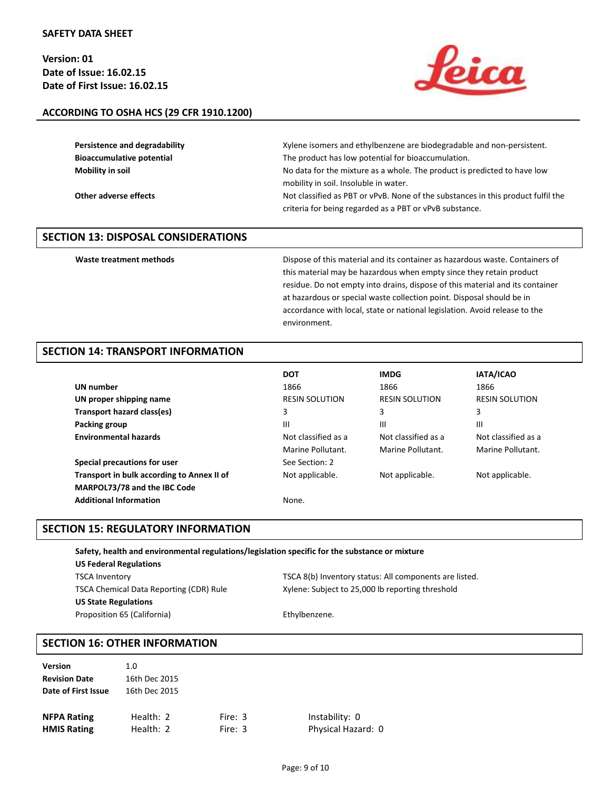

# **ACCORDING TO OSHA HCS (29 CFR 1910.1200)**

| Persistence and degradability    | Xylene isomers and ethylbenzene are biodegradable and non-persistent.            |
|----------------------------------|----------------------------------------------------------------------------------|
| <b>Bioaccumulative potential</b> | The product has low potential for bioaccumulation.                               |
| Mobility in soil                 | No data for the mixture as a whole. The product is predicted to have low         |
|                                  | mobility in soil. Insoluble in water.                                            |
| Other adverse effects            | Not classified as PBT or vPvB. None of the substances in this product fulfil the |
|                                  | criteria for being regarded as a PBT or vPvB substance.                          |

# **SECTION 13: DISPOSAL CONSIDERATIONS**

Waste treatment methods **Dispose of this material and its container as hazardous waste. Containers of** Dispose of this material and its containers as hazardous waste. Containers of this material may be hazardous when empty since they retain product residue. Do not empty into drains, dispose of this material and its container at hazardous or special waste collection point. Disposal should be in accordance with local, state or national legislation. Avoid release to the environment.

# **SECTION 14: TRANSPORT INFORMATION**

|                                            | <b>DOT</b>            | <b>IMDG</b>           | IATA/ICAO             |
|--------------------------------------------|-----------------------|-----------------------|-----------------------|
| UN number                                  | 1866                  | 1866                  | 1866                  |
| UN proper shipping name                    | <b>RESIN SOLUTION</b> | <b>RESIN SOLUTION</b> | <b>RESIN SOLUTION</b> |
| Transport hazard class(es)                 | 3                     | 3                     | 3                     |
| Packing group                              | Ш                     | Ш                     | Ш                     |
| <b>Environmental hazards</b>               | Not classified as a   | Not classified as a   | Not classified as a   |
|                                            | Marine Pollutant.     | Marine Pollutant.     | Marine Pollutant.     |
| Special precautions for user               | See Section: 2        |                       |                       |
| Transport in bulk according to Annex II of | Not applicable.       | Not applicable.       | Not applicable.       |
| MARPOL73/78 and the IBC Code               |                       |                       |                       |
| <b>Additional Information</b>              | None.                 |                       |                       |

# **SECTION 15: REGULATORY INFORMATION**

| Safety, health and environmental regulations/legislation specific for the substance or mixture |                                                        |  |
|------------------------------------------------------------------------------------------------|--------------------------------------------------------|--|
| <b>US Federal Regulations</b>                                                                  |                                                        |  |
| <b>TSCA Inventory</b>                                                                          | TSCA 8(b) Inventory status: All components are listed. |  |
| <b>TSCA Chemical Data Reporting (CDR) Rule</b>                                                 | Xylene: Subject to 25,000 lb reporting threshold       |  |
| <b>US State Regulations</b>                                                                    |                                                        |  |
| Proposition 65 (California)                                                                    | Ethylbenzene.                                          |  |

# **SECTION 16: OTHER INFORMATION**

| <b>Version</b>       | 1.0           |           |                    |
|----------------------|---------------|-----------|--------------------|
| <b>Revision Date</b> | 16th Dec 2015 |           |                    |
| Date of First Issue  | 16th Dec 2015 |           |                    |
|                      |               |           |                    |
| <b>NFPA Rating</b>   | Health: 2     | Fire: 3   | Instability: 0     |
| <b>HMIS Rating</b>   | Health: 2     | Fire: $3$ | Physical Hazard: 0 |